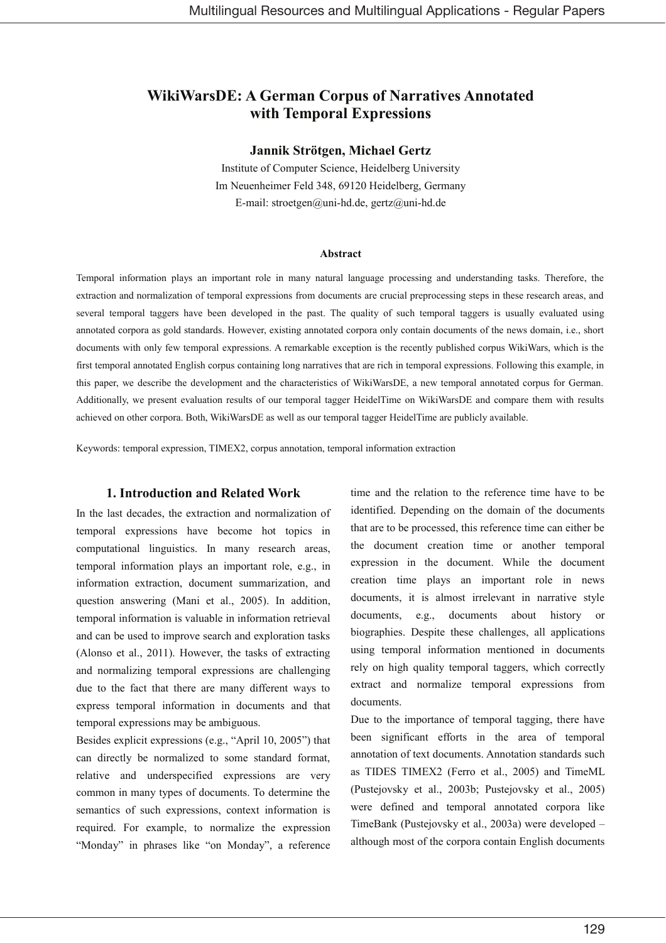# **WikiWarsDE: A German Corpus of Narratives Annotated** with Temporal Expressions

#### Jannik Strötgen, Michael Gertz

Institute of Computer Science, Heidelberg University Im Neuenheimer Feld 348, 69120 Heidelberg, Germany E-mail: stroetgen@uni-hd.de, gertz@uni-hd.de

#### **Abstract**

Temporal information plays an important role in many natural language processing and understanding tasks. Therefore, the extraction and normalization of temporal expressions from documents are crucial preprocessing steps in these research areas, and several temporal taggers have been developed in the past. The quality of such temporal taggers is usually evaluated using annotated corpora as gold standards. However, existing annotated corpora only contain documents of the news domain, i.e., short documents with only few temporal expressions. A remarkable exception is the recently published corpus WikiWars, which is the first temporal annotated English corpus containing long narratives that are rich in temporal expressions. Following this example, in this paper, we describe the development and the characteristics of WikiWarsDE, a new temporal annotated corpus for German. Additionally, we present evaluation results of our temporal tagger HeidelTime on WikiWarsDE and compare them with results achieved on other corpora. Both, WikiWarsDE as well as our temporal tagger HeidelTime are publicly available.

Keywords: temporal expression, TIMEX2, corpus annotation, temporal information extraction

## 1. Introduction and Related Work

In the last decades, the extraction and normalization of temporal expressions have become hot topics in computational linguistics. In many research areas, temporal information plays an important role, e.g., in information extraction, document summarization, and question answering (Mani et al., 2005). In addition, temporal information is valuable in information retrieval and can be used to improve search and exploration tasks (Alonso et al., 2011). However, the tasks of extracting and normalizing temporal expressions are challenging due to the fact that there are many different ways to express temporal information in documents and that temporal expressions may be ambiguous.

Besides explicit expressions (e.g., "April 10, 2005") that can directly be normalized to some standard format, relative and underspecified expressions are very common in many types of documents. To determine the semantics of such expressions, context information is required. For example, to normalize the expression "Monday" in phrases like "on Monday", a reference

time and the relation to the reference time have to be identified. Depending on the domain of the documents that are to be processed, this reference time can either be the document creation time or another temporal expression in the document. While the document creation time plays an important role in news documents, it is almost irrelevant in narrative style  $e.g.,$ documents about history documents,  $\alpha$ biographies. Despite these challenges, all applications using temporal information mentioned in documents rely on high quality temporal taggers, which correctly extract and normalize temporal expressions from documents.

Due to the importance of temporal tagging, there have been significant efforts in the area of temporal annotation of text documents. Annotation standards such as TIDES TIMEX2 (Ferro et al., 2005) and TimeML (Pustejovsky et al., 2003b; Pustejovsky et al., 2005) were defined and temporal annotated corpora like TimeBank (Pustejovsky et al., 2003a) were developed although most of the corpora contain English documents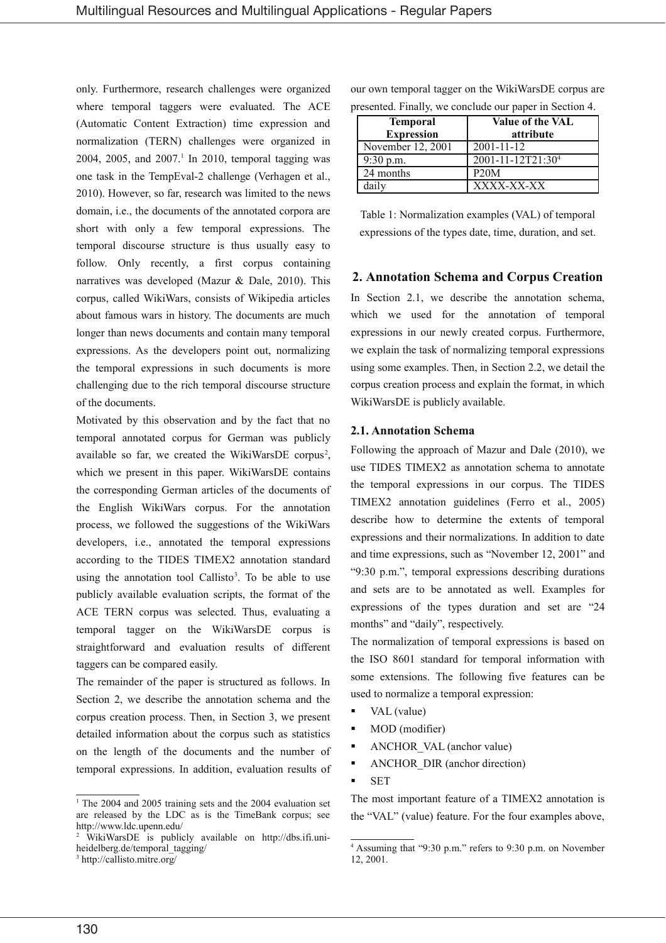only. Furthermore, research challenges were organized where temporal taggers were evaluated. The ACE (Automatic Content Extraction) time expression and normalization (TERN) challenges were organized in 2004, 2005, and 2007.<sup>1</sup> In 2010, temporal tagging was one task in the TempEval-2 challenge (Verhagen et al., 2010). However, so far, research was limited to the news domain, i.e., the documents of the annotated corpora are short with only a few temporal expressions. The temporal discourse structure is thus usually easy to follow. Only recently, a first corpus containing narratives was developed (Mazur & Dale, 2010). This corpus, called WikiWars, consists of Wikipedia articles about famous wars in history. The documents are much longer than news documents and contain many temporal expressions. As the developers point out, normalizing the temporal expressions in such documents is more challenging due to the rich temporal discourse structure of the documents.

Motivated by this observation and by the fact that no temporal annotated corpus for German was publicly available so far, we created the WikiWarsDE corpus<sup>2</sup>, which we present in this paper. WikiWarsDE contains the corresponding German articles of the documents of the English WikiWars corpus. For the annotation process, we followed the suggestions of the WikiWars developers, i.e., annotated the temporal expressions according to the TIDES TIMEX2 annotation standard using the annotation tool Callisto<sup>3</sup>. To be able to use publicly available evaluation scripts, the format of the ACE TERN corpus was selected. Thus, evaluating a temporal tagger on the WikiWarsDE corpus is straightforward and evaluation results of different taggers can be compared easily.

The remainder of the paper is structured as follows. In Section 2, we describe the annotation schema and the corpus creation process. Then, in Section 3, we present detailed information about the corpus such as statistics on the length of the documents and the number of temporal expressions. In addition, evaluation results of our own temporal tagger on the WikiWarsDE corpus are presented. Finally, we conclude our paper in Section 4.

| <b>Temporal</b><br><b>Expression</b> | <b>Value of the VAL</b><br>attribute |  |  |  |  |  |  |
|--------------------------------------|--------------------------------------|--|--|--|--|--|--|
| November 12, 2001                    | 2001-11-12                           |  |  |  |  |  |  |
| $9:30$ p.m.                          | $2001 - 11 - 12T21:304$              |  |  |  |  |  |  |
| 24 months                            | P20M                                 |  |  |  |  |  |  |
| dailv                                | XXXX-XX-XX                           |  |  |  |  |  |  |

Table 1: Normalization examples (VAL) of temporal expressions of the types date, time, duration, and set.

#### 2. Annotation Schema and Corpus Creation

In Section 2.1, we describe the annotation schema, which we used for the annotation of temporal expressions in our newly created corpus. Furthermore, we explain the task of normalizing temporal expressions using some examples. Then, in Section 2.2, we detail the corpus creation process and explain the format, in which WikiWarsDE is publicly available.

#### **2.1. Annotation Schema**

Following the approach of Mazur and Dale (2010), we use TIDES TIMEX2 as annotation schema to annotate the temporal expressions in our corpus. The TIDES TIMEX2 annotation guidelines (Ferro et al., 2005) describe how to determine the extents of temporal expressions and their normalizations. In addition to date and time expressions, such as "November 12, 2001" and "9:30 p.m.", temporal expressions describing durations and sets are to be annotated as well. Examples for expressions of the types duration and set are "24 months" and "daily", respectively.

The normalization of temporal expressions is based on the ISO 8601 standard for temporal information with some extensions. The following five features can be used to normalize a temporal expression:

- VAL (value)
- MOD (modifier)
- ANCHOR\_VAL (anchor value)
- $\blacksquare$ ANCHOR DIR (anchor direction)
- **SET**  $\blacksquare$

The most important feature of a TIMEX2 annotation is the "VAL" (value) feature. For the four examples above.

 $1$  The 2004 and 2005 training sets and the 2004 evaluation set are released by the LDC as is the TimeBank corpus; see http://www.ldc.upenn.edu/

WikiWarsDE is publicly available on http://dbs.ifi.uniheidelberg.de/temporal tagging/

 $^3$ http://callisto.mitre.org/

<sup>&</sup>lt;sup>4</sup> Assuming that "9:30 p.m." refers to 9:30 p.m. on November 12, 2001.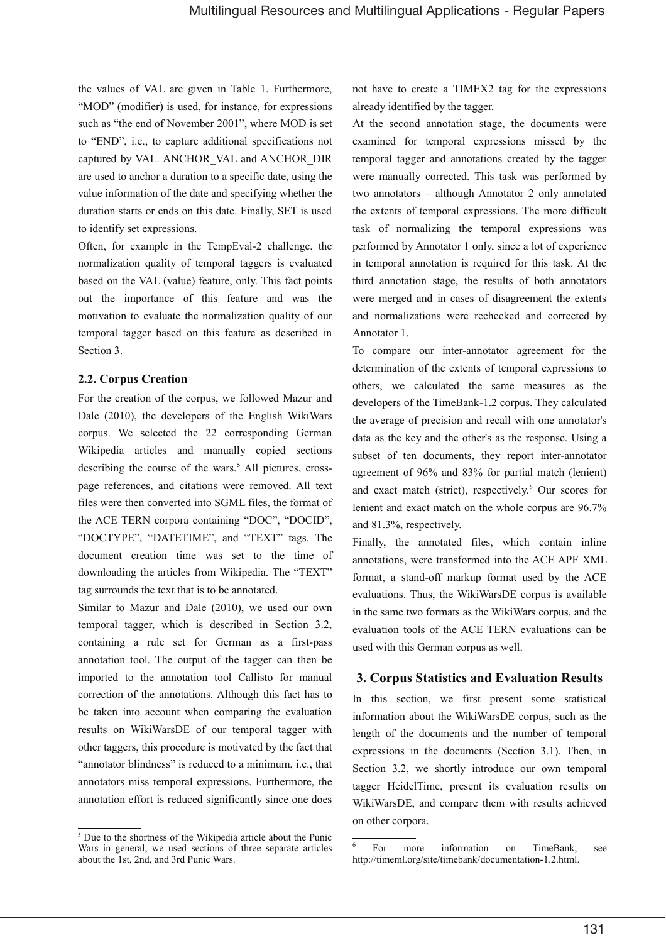the values of VAL are given in Table 1. Furthermore, "MOD" (modifier) is used, for instance, for expressions such as "the end of November 2001", where MOD is set to "END", i.e., to capture additional specifications not captured by VAL. ANCHOR VAL and ANCHOR DIR are used to anchor a duration to a specific date, using the value information of the date and specifying whether the duration starts or ends on this date. Finally, SET is used to identify set expressions.

Often, for example in the TempEval-2 challenge, the normalization quality of temporal taggers is evaluated based on the VAL (value) feature, only. This fact points out the importance of this feature and was the motivation to evaluate the normalization quality of our temporal tagger based on this feature as described in Section 3.

#### 2.2. Corpus Creation

For the creation of the corpus, we followed Mazur and Dale (2010), the developers of the English WikiWars corpus. We selected the 22 corresponding German Wikipedia articles and manually copied sections describing the course of the wars.<sup>5</sup> All pictures, crosspage references, and citations were removed. All text files were then converted into SGML files, the format of the ACE TERN corpora containing "DOC", "DOCID", "DOCTYPE", "DATETIME", and "TEXT" tags. The document creation time was set to the time of downloading the articles from Wikipedia. The "TEXT" tag surrounds the text that is to be annotated.

Similar to Mazur and Dale (2010), we used our own temporal tagger, which is described in Section 3.2, containing a rule set for German as a first-pass annotation tool. The output of the tagger can then be imported to the annotation tool Callisto for manual correction of the annotations. Although this fact has to be taken into account when comparing the evaluation results on WikiWarsDE of our temporal tagger with other taggers, this procedure is motivated by the fact that "annotator blindness" is reduced to a minimum, i.e., that annotators miss temporal expressions. Furthermore, the annotation effort is reduced significantly since one does not have to create a TIMEX2 tag for the expressions already identified by the tagger.

At the second annotation stage, the documents were examined for temporal expressions missed by the temporal tagger and annotations created by the tagger were manually corrected. This task was performed by two annotators - although Annotator 2 only annotated the extents of temporal expressions. The more difficult task of normalizing the temporal expressions was performed by Annotator 1 only, since a lot of experience in temporal annotation is required for this task. At the third annotation stage, the results of both annotators were merged and in cases of disagreement the extents and normalizations were rechecked and corrected by Annotator 1.

To compare our inter-annotator agreement for the determination of the extents of temporal expressions to others, we calculated the same measures as the developers of the TimeBank-1.2 corpus. They calculated the average of precision and recall with one annotator's data as the key and the other's as the response. Using a subset of ten documents, they report inter-annotator agreement of 96% and 83% for partial match (lenient) and exact match (strict), respectively.<sup>6</sup> Our scores for lenient and exact match on the whole corpus are 96.7% and 81.3%, respectively.

Finally, the annotated files, which contain inline annotations, were transformed into the ACE APF XML format, a stand-off markup format used by the ACE evaluations. Thus, the WikiWarsDE corpus is available in the same two formats as the WikiWars corpus, and the evaluation tools of the ACE TERN evaluations can be used with this German corpus as well.

#### 3. Corpus Statistics and Evaluation Results

In this section, we first present some statistical information about the WikiWarsDE corpus, such as the length of the documents and the number of temporal expressions in the documents (Section 3.1). Then, in Section 3.2, we shortly introduce our own temporal tagger HeidelTime, present its evaluation results on WikiWarsDE, and compare them with results achieved on other corpora.

<sup>&</sup>lt;sup>5</sup> Due to the shortness of the Wikipedia article about the Punic Wars in general, we used sections of three separate articles about the 1st, 2nd, and 3rd Punic Wars.

For more information on TimeBank, see http://timeml.org/site/timebank/documentation-1.2.html.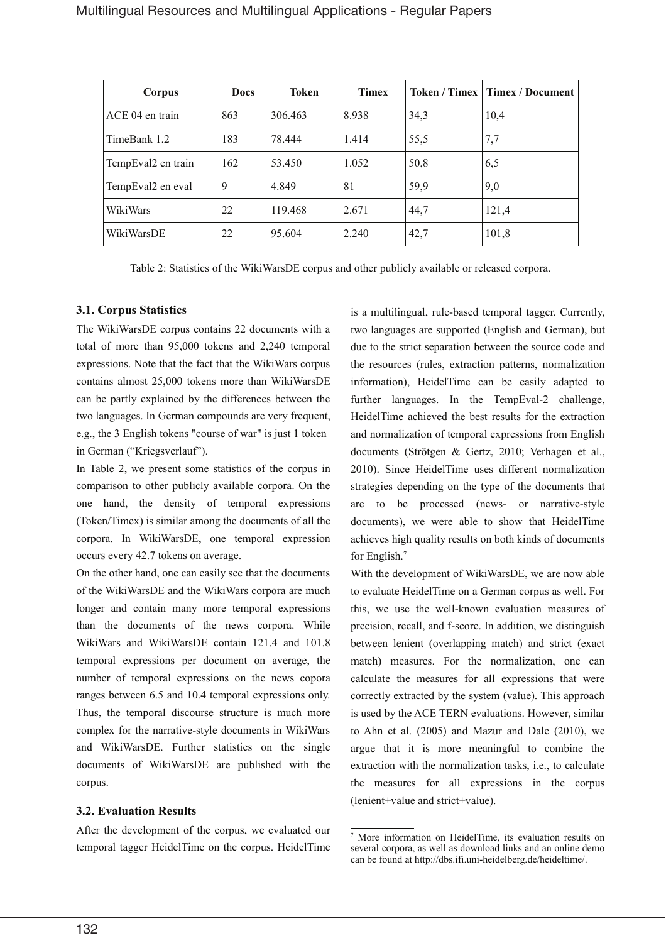| Corpus             | <b>Docs</b> | Token   | <b>Timex</b> |      | Token / Timex   Timex / Document |  |  |
|--------------------|-------------|---------|--------------|------|----------------------------------|--|--|
| ACE 04 en train    | 863         | 306.463 | 8.938        | 34,3 | 10,4                             |  |  |
| TimeBank 1.2       | 183         | 78.444  | 1.414        | 55,5 | 7,7                              |  |  |
| TempEval2 en train | 162         | 53.450  | 1.052        | 50,8 | 6,5                              |  |  |
| TempEval2 en eval  | 9           | 4.849   | 81           | 59,9 | 9,0                              |  |  |
| WikiWars           | 22          | 119.468 | 2.671        | 44,7 | 121,4                            |  |  |
| WikiWarsDE         | 22          | 95.604  | 2.240        | 42,7 | 101,8                            |  |  |

Table 2: Statistics of the WikiWarsDE corpus and other publicly available or released corpora.

#### 3.1. Corpus Statistics

The WikiWarsDE corpus contains 22 documents with a total of more than 95,000 tokens and 2,240 temporal expressions. Note that the fact that the WikiWars corpus contains almost 25,000 tokens more than WikiWarsDE can be partly explained by the differences between the two languages. In German compounds are very frequent, e.g., the 3 English tokens "course of war" is just 1 token in German ("Kriegsverlauf").

In Table 2, we present some statistics of the corpus in comparison to other publicly available corpora. On the one hand, the density of temporal expressions (Token/Timex) is similar among the documents of all the corpora. In WikiWarsDE, one temporal expression occurs every 42.7 tokens on average.

On the other hand, one can easily see that the documents of the WikiWarsDE and the WikiWars corpora are much longer and contain many more temporal expressions than the documents of the news corpora. While WikiWars and WikiWarsDE contain 121.4 and 101.8 temporal expressions per document on average, the number of temporal expressions on the news copora ranges between 6.5 and 10.4 temporal expressions only. Thus, the temporal discourse structure is much more complex for the narrative-style documents in WikiWars and WikiWarsDE. Further statistics on the single documents of WikiWarsDE are published with the corpus.

#### **3.2. Evaluation Results**

After the development of the corpus, we evaluated our temporal tagger HeidelTime on the corpus. HeidelTime is a multilingual, rule-based temporal tagger. Currently, two languages are supported (English and German), but due to the strict separation between the source code and the resources (rules, extraction patterns, normalization information), HeidelTime can be easily adapted to further languages. In the TempEval-2 challenge, HeidelTime achieved the best results for the extraction and normalization of temporal expressions from English documents (Strötgen & Gertz, 2010; Verhagen et al., 2010). Since HeidelTime uses different normalization strategies depending on the type of the documents that are to be processed (news- or narrative-style documents), we were able to show that HeidelTime achieves high quality results on both kinds of documents for English.<sup>7</sup>

With the development of WikiWarsDE, we are now able to evaluate HeidelTime on a German corpus as well. For this, we use the well-known evaluation measures of precision, recall, and f-score. In addition, we distinguish between lenient (overlapping match) and strict (exact match) measures. For the normalization, one can calculate the measures for all expressions that were correctly extracted by the system (value). This approach is used by the ACE TERN evaluations. However, similar to Ahn et al. (2005) and Mazur and Dale (2010), we argue that it is more meaningful to combine the extraction with the normalization tasks, i.e., to calculate the measures for all expressions in the corpus (lenient+value and strict+value).

<sup>&</sup>lt;sup>7</sup> More information on HeidelTime, its evaluation results on several corpora, as well as download links and an online demo can be found at http://dbs.ifi.uni-heidelberg.de/heideltime/.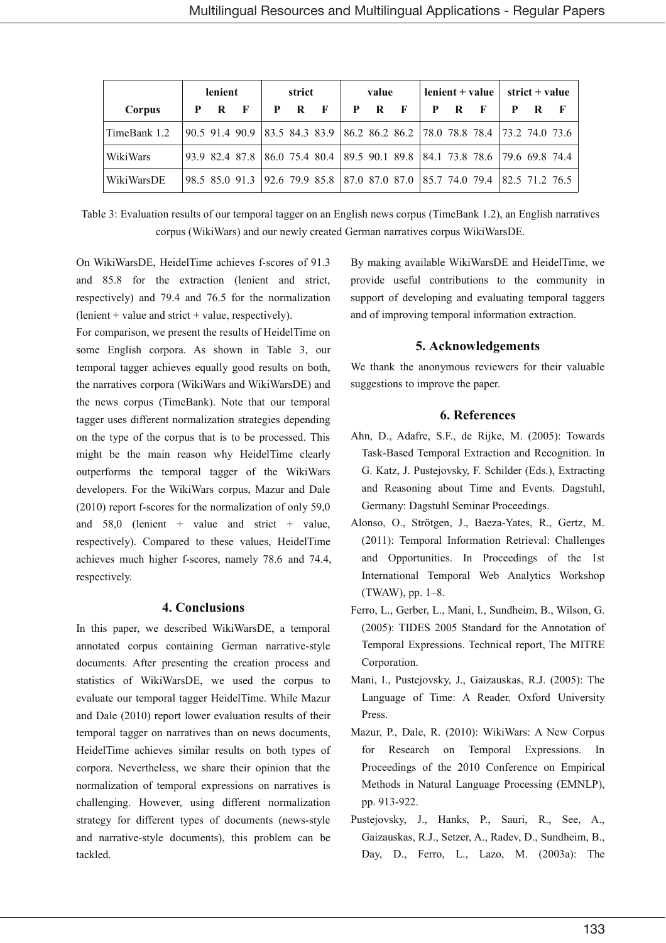|              | lenient<br>strict |       | value                                                                      |       |  | $lenient + value$ |     |   | strict $+$ value |              |     |  |   |   |
|--------------|-------------------|-------|----------------------------------------------------------------------------|-------|--|-------------------|-----|---|------------------|--------------|-----|--|---|---|
| Corpus       | P                 | $R$ F |                                                                            | P R F |  |                   | P R | F | P                | $\mathbf{R}$ | - F |  | R | F |
| TimeBank 1.2 |                   |       | 90.5 91.4 90.9 83.5 84.3 83.9 86.2 86.2 86.2 78.0 78.8 78.4 73.2 74.0 73.6 |       |  |                   |     |   |                  |              |     |  |   |   |
| WikiWars     |                   |       | 93.9 82.4 87.8 86.0 75.4 80.4 89.5 90.1 89.8 84.1 73.8 78.6 79.6 69.8 74.4 |       |  |                   |     |   |                  |              |     |  |   |   |
| WikiWarsDE   |                   |       | 98.5 85.0 91.3 92.6 79.9 85.8 87.0 87.0 87.0 85.7 74.0 79.4 82.5 71.2 76.5 |       |  |                   |     |   |                  |              |     |  |   |   |

Table 3: Evaluation results of our temporal tagger on an English news corpus (TimeBank 1.2), an English narratives corpus (WikiWars) and our newly created German narratives corpus WikiWarsDE.

On WikiWarsDE, HeidelTime achieves f-scores of 91.3 and 85.8 for the extraction (lenient and strict, respectively) and 79.4 and 76.5 for the normalization  $(lenient + value and strict + value, respectively).$ 

For comparison, we present the results of HeidelTime on some English corpora. As shown in Table 3, our temporal tagger achieves equally good results on both, the narratives corpora (WikiWars and WikiWarsDE) and the news corpus (TimeBank). Note that our temporal tagger uses different normalization strategies depending on the type of the corpus that is to be processed. This might be the main reason why HeidelTime clearly outperforms the temporal tagger of the WikiWars developers. For the WikiWars corpus, Mazur and Dale  $(2010)$  report f-scores for the normalization of only 59,0 and  $58.0$  (lenient + value and strict + value, respectively). Compared to these values, HeidelTime achieves much higher f-scores, namely 78.6 and 74.4. respectively.

#### **4. Conclusions**

In this paper, we described WikiWarsDE, a temporal annotated corpus containing German narrative-style documents. After presenting the creation process and statistics of WikiWarsDE, we used the corpus to evaluate our temporal tagger HeidelTime. While Mazur and Dale (2010) report lower evaluation results of their temporal tagger on narratives than on news documents. HeidelTime achieves similar results on both types of corpora. Nevertheless, we share their opinion that the normalization of temporal expressions on narratives is challenging. However, using different normalization strategy for different types of documents (news-style and narrative-style documents), this problem can be tackled.

By making available WikiWarsDE and HeidelTime, we provide useful contributions to the community in support of developing and evaluating temporal taggers and of improving temporal information extraction.

## 5. Acknowledgements

We thank the anonymous reviewers for their valuable suggestions to improve the paper.

## **6. References**

- Ahn, D., Adafre, S.F., de Rijke, M. (2005): Towards Task-Based Temporal Extraction and Recognition. In G. Katz, J. Pustejovsky, F. Schilder (Eds.), Extracting and Reasoning about Time and Events. Dagstuhl, Germany: Dagstuhl Seminar Proceedings.
- Alonso, O., Strötgen, J., Baeza-Yates, R., Gertz, M. (2011): Temporal Information Retrieval: Challenges and Opportunities. In Proceedings of the 1st International Temporal Web Analytics Workshop (TWAW), pp. 1-8.
- Ferro, L., Gerber, L., Mani, I., Sundheim, B., Wilson, G. (2005): TIDES 2005 Standard for the Annotation of Temporal Expressions. Technical report, The MITRE Corporation.
- Mani, I., Pustejovsky, J., Gaizauskas, R.J. (2005): The Language of Time: A Reader. Oxford University Press.
- Mazur, P., Dale, R. (2010): WikiWars: A New Corpus for Research on Temporal Expressions. In Proceedings of the 2010 Conference on Empirical Methods in Natural Language Processing (EMNLP), pp. 913-922.
- Pustejovsky, J., Hanks, P., Sauri, R., See, A., Gaizauskas, R.J., Setzer, A., Radev, D., Sundheim, B., Day, D., Ferro, L., Lazo, M. (2003a): The